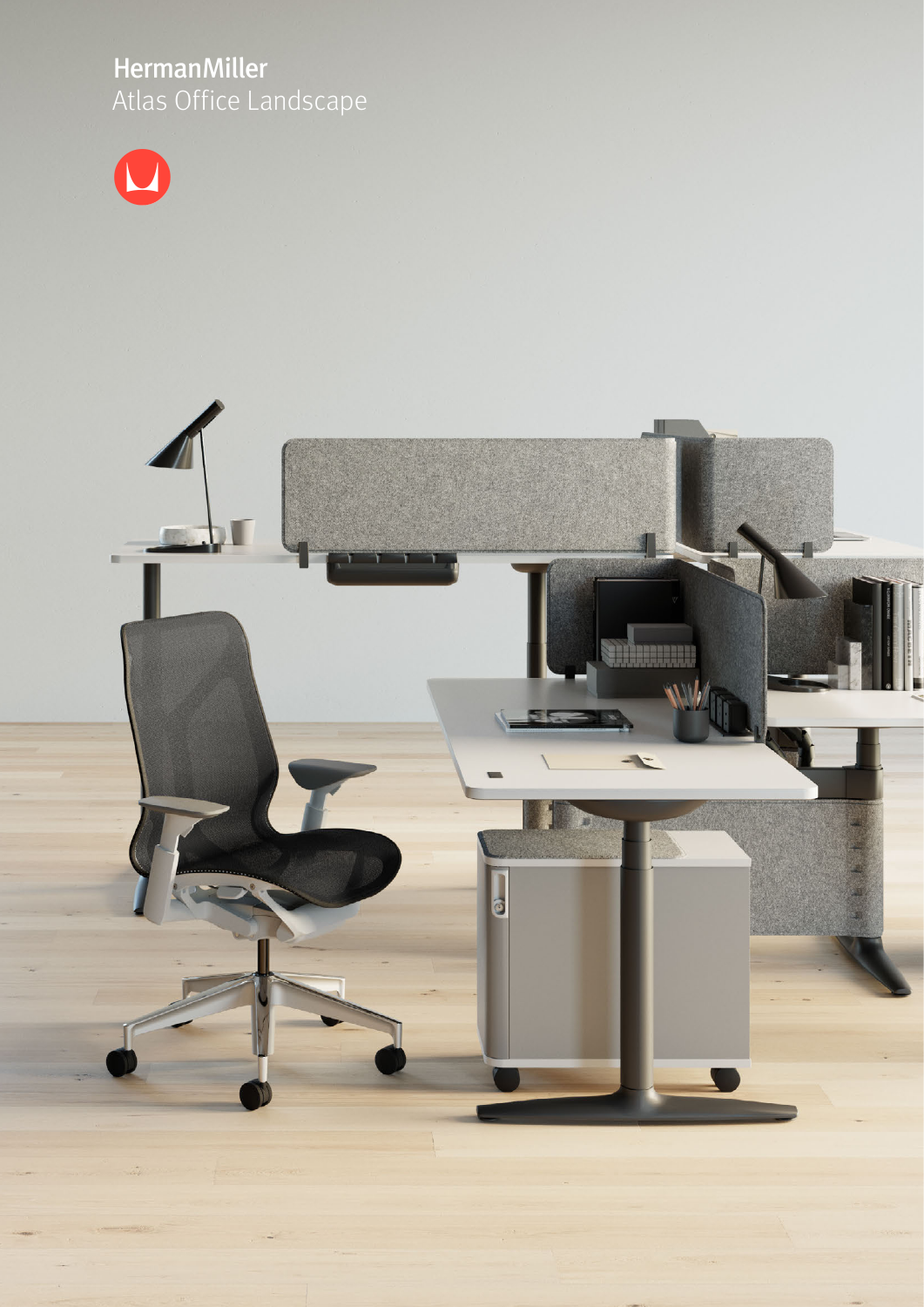# HermanMiller<br>Atlas Office Landscape



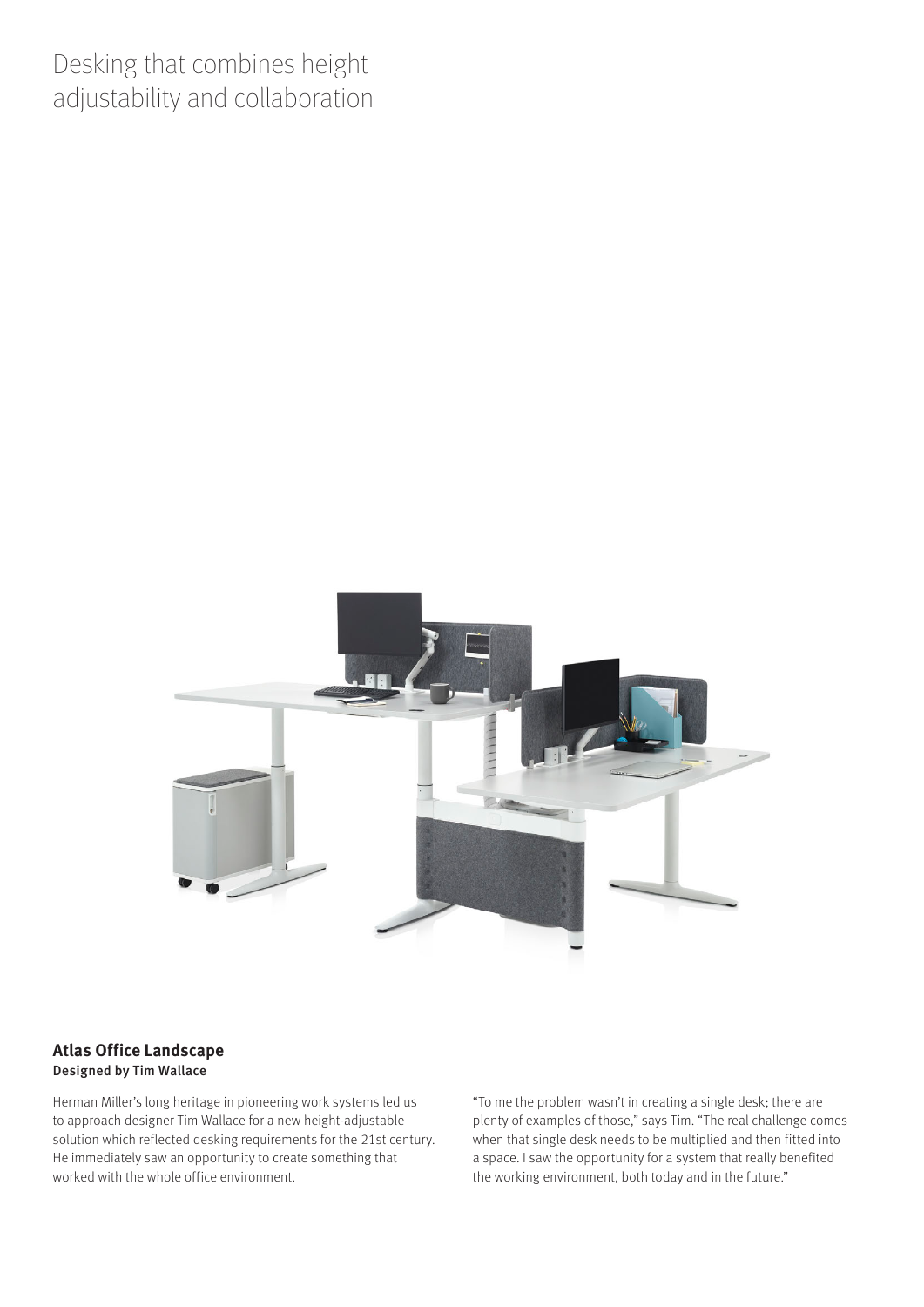# Desking that combines height adjustability and collaboration



#### **Atlas Office Landscape** Designed by Tim Wallace

Herman Miller's long heritage in pioneering work systems led us to approach designer Tim Wallace for a new height-adjustable solution which reflected desking requirements for the 21st century. He immediately saw an opportunity to create something that worked with the whole office environment.

"To me the problem wasn't in creating a single desk; there are plenty of examples of those," says Tim. "The real challenge comes when that single desk needs to be multiplied and then fitted into a space. I saw the opportunity for a system that really benefited the working environment, both today and in the future."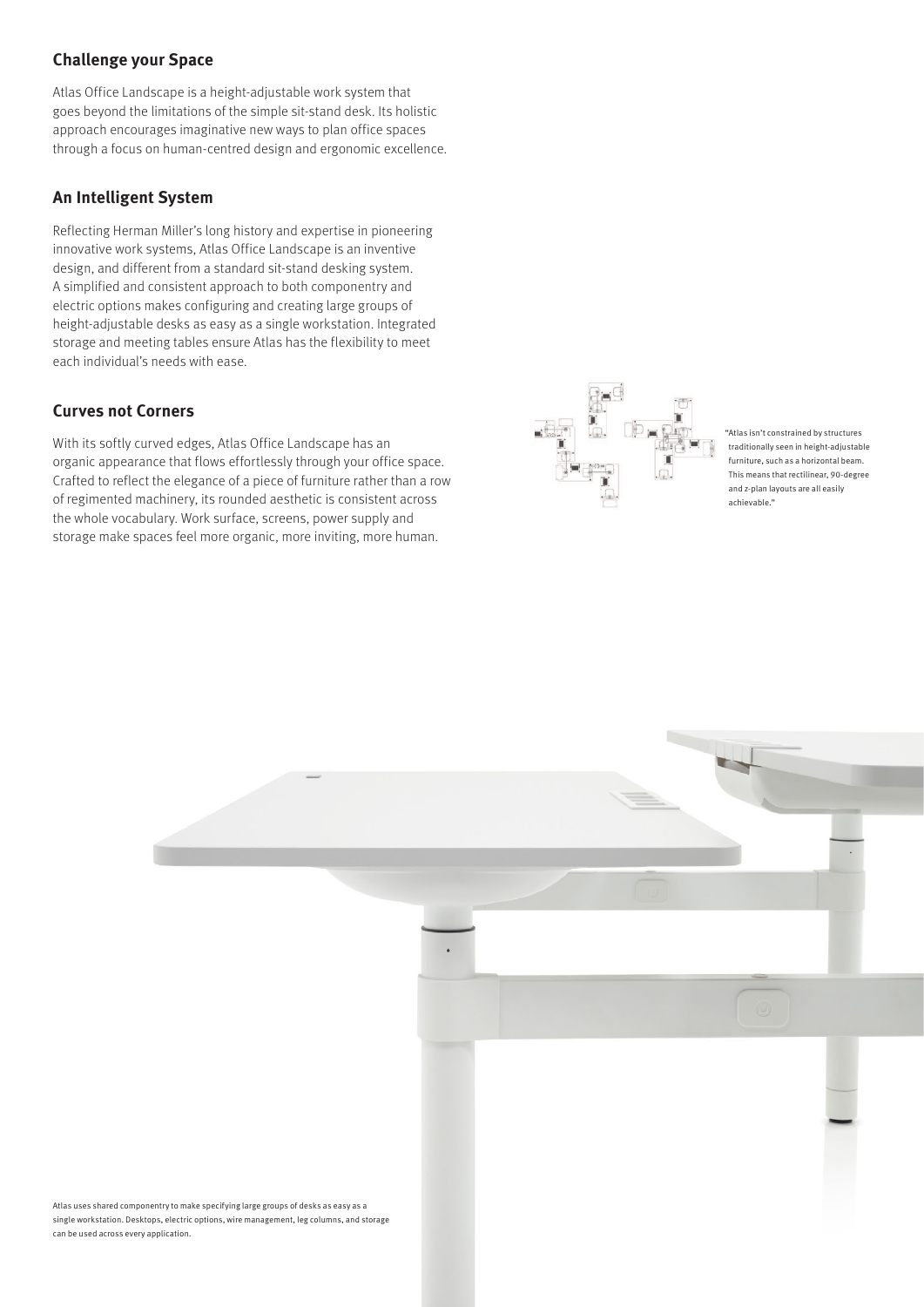## **Challenge your Space**

Atlas Office Landscape is a height-adjustable work system that goes beyond the limitations of the simple sit-stand desk. Its holistic approach encourages imaginative new ways to plan office spaces through a focus on human-centred design and ergonomic excellence.

## **An Intelligent System**

Reflecting Herman Miller's long history and expertise in pioneering innovative work systems, Atlas Office Landscape is an inventive design, and different from a standard sit-stand desking system. A simplified and consistent approach to both componentry and electric options makes configuring and creating large groups of height-adjustable desks as easy as a single workstation. Integrated storage and meeting tables ensure Atlas has the flexibility to meet each individual's needs with ease.

#### **Curves not Corners**

With its softly curved edges, Atlas Office Landscape has an organic appearance that flows effortlessly through your office space. Crafted to reflect the elegance of a piece of furniture rather than a row of regimented machinery, its rounded aesthetic is consistent across the whole vocabulary. Work surface, screens, power supply and storage make spaces feel more organic, more inviting, more human.



"Atlas isn't constrained by structures traditionally seen in height-adjustable furniture, such as a horizontal beam. This means that rectilinear, 90-degree and z-plan layouts are all easily achievable."